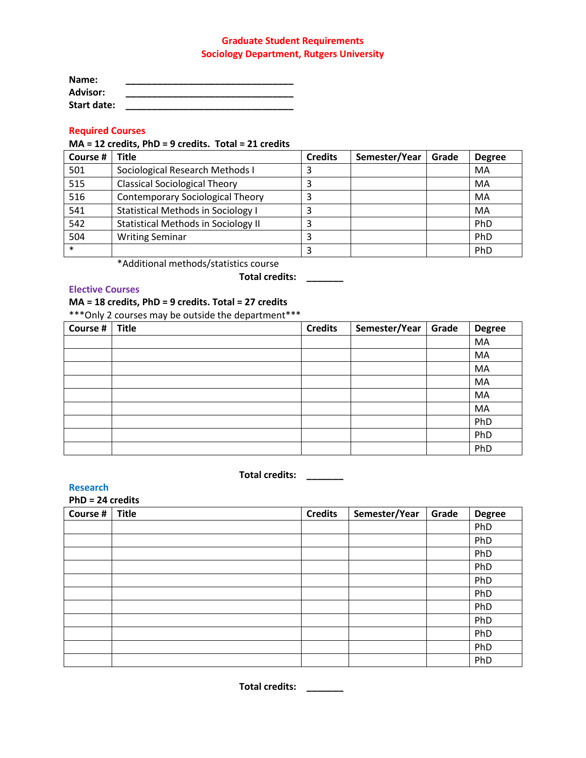## **Graduate Student Requirements Sociology Department, Rutgers University**

| Name:           |  |
|-----------------|--|
| <b>Advisor:</b> |  |
| Start date:     |  |

# **Required Courses**

## **MA = 12 credits, PhD = 9 credits. Total = 21 credits**

| Course # | Title                                      | <b>Credits</b> | Semester/Year | Grade | <b>Degree</b> |
|----------|--------------------------------------------|----------------|---------------|-------|---------------|
| 501      | Sociological Research Methods I            | 3              |               |       | MA            |
| 515      | <b>Classical Sociological Theory</b>       |                |               |       | MA            |
| 516      | <b>Contemporary Sociological Theory</b>    | 3              |               |       | MA            |
| 541      | <b>Statistical Methods in Sociology I</b>  | 3              |               |       | MA            |
| 542      | <b>Statistical Methods in Sociology II</b> |                |               |       | PhD           |
| 504      | <b>Writing Seminar</b>                     |                |               |       | PhD           |
| $\ast$   |                                            |                |               |       | PhD           |

\*Additional methods/statistics course

# **Total credits: \_\_\_\_\_\_\_**

## **Elective Courses**

## **MA = 18 credits, PhD = 9 credits. Total = 27 credits**

\*\*\*Only 2 courses may be outside the department\*\*\*

| Course # | <b>Title</b> | <b>Credits</b> | Semester/Year | Grade | <b>Degree</b> |
|----------|--------------|----------------|---------------|-------|---------------|
|          |              |                |               |       | MA            |
|          |              |                |               |       | MA            |
|          |              |                |               |       | MA            |
|          |              |                |               |       | MA            |
|          |              |                |               |       | MA            |
|          |              |                |               |       | MA            |
|          |              |                |               |       | PhD           |
|          |              |                |               |       | PhD           |
|          |              |                |               |       | PhD           |

# **Total credits: \_\_\_\_\_\_\_**

**Research**

| $PhD = 24$ credits |              |                |               |       |               |
|--------------------|--------------|----------------|---------------|-------|---------------|
| Course #           | <b>Title</b> | <b>Credits</b> | Semester/Year | Grade | <b>Degree</b> |
|                    |              |                |               |       | PhD           |
|                    |              |                |               |       | PhD           |
|                    |              |                |               |       | PhD           |
|                    |              |                |               |       | PhD           |
|                    |              |                |               |       | PhD           |
|                    |              |                |               |       | PhD           |
|                    |              |                |               |       | PhD           |
|                    |              |                |               |       | PhD           |
|                    |              |                |               |       | PhD           |
|                    |              |                |               |       | PhD           |
|                    |              |                |               |       | PhD           |

**Total credits: \_\_\_\_\_\_\_**